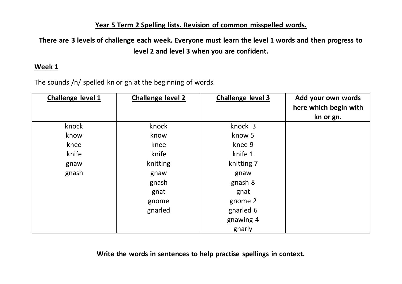# **Year 5 Term 2 Spelling lists. Revision of common misspelled words.**

**There are 3 levels of challenge each week. Everyone must learn the level 1 words and then progress to level 2 and level 3 when you are confident.** 

# **Week 1**

The sounds /n/ spelled kn or gn at the beginning of words.

| Challenge level 1 | <b>Challenge level 2</b> | Challenge level 3 | Add your own words<br>here which begin with<br>kn or gn. |
|-------------------|--------------------------|-------------------|----------------------------------------------------------|
| knock             | knock                    | knock 3           |                                                          |
| know              | know                     | know 5            |                                                          |
| knee              | knee                     | knee 9            |                                                          |
| knife             | knife                    | knife 1           |                                                          |
| gnaw              | knitting                 | knitting 7        |                                                          |
| gnash             | gnaw                     | gnaw              |                                                          |
|                   | gnash                    | gnash 8           |                                                          |
|                   | gnat                     | gnat              |                                                          |
|                   | gnome                    | gnome 2           |                                                          |
|                   | gnarled                  | gnarled 6         |                                                          |
|                   |                          | gnawing 4         |                                                          |
|                   |                          | gnarly            |                                                          |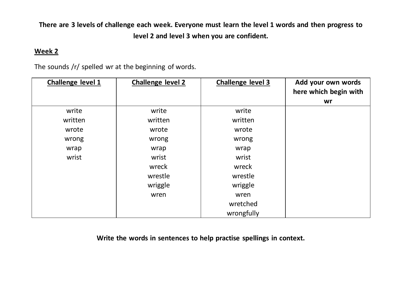#### **Week 2**

The sounds /r/ spelled wr at the beginning of words.

| Challenge level 1 | <b>Challenge level 2</b> | <b>Challenge level 3</b> | Add your own words    |
|-------------------|--------------------------|--------------------------|-----------------------|
|                   |                          |                          | here which begin with |
|                   |                          |                          | wr                    |
| write             | write                    | write                    |                       |
| written           | written                  | written                  |                       |
| wrote             | wrote                    | wrote                    |                       |
| wrong             | wrong                    | wrong                    |                       |
| wrap              | wrap                     | wrap                     |                       |
| wrist             | wrist                    | wrist                    |                       |
|                   | wreck                    | wreck                    |                       |
|                   | wrestle                  | wrestle                  |                       |
|                   | wriggle                  | wriggle                  |                       |
|                   | wren                     | wren                     |                       |
|                   |                          | wretched                 |                       |
|                   |                          | wrongfully               |                       |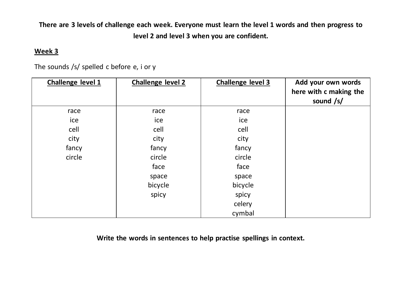# **Week 3**

The sounds /s/ spelled c before e, i or y

| Challenge level 1 | <b>Challenge level 2</b> | <b>Challenge level 3</b> | Add your own words     |
|-------------------|--------------------------|--------------------------|------------------------|
|                   |                          |                          | here with c making the |
|                   |                          |                          | sound /s/              |
| race              | race                     | race                     |                        |
| ice               | ice                      | ice                      |                        |
| cell              | cell                     | cell                     |                        |
| city              | city                     | city                     |                        |
| fancy             | fancy                    | fancy                    |                        |
| circle            | circle                   | circle                   |                        |
|                   | face                     | face                     |                        |
|                   | space                    | space                    |                        |
|                   | bicycle                  | bicycle                  |                        |
|                   | spicy                    | spicy                    |                        |
|                   |                          | celery                   |                        |
|                   |                          | cymbal                   |                        |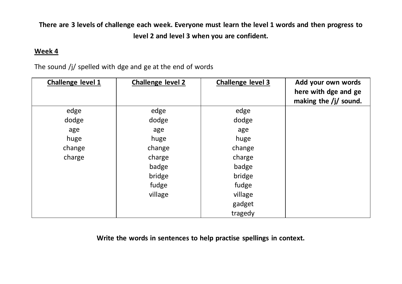## **Week 4**

The sound /j/ spelled with dge and ge at the end of words

| Challenge level 1 | <b>Challenge level 2</b> | <b>Challenge level 3</b> | Add your own words      |
|-------------------|--------------------------|--------------------------|-------------------------|
|                   |                          |                          | here with dge and ge    |
|                   |                          |                          | making the $/j/$ sound. |
| edge              | edge                     | edge                     |                         |
| dodge             | dodge                    | dodge                    |                         |
| age               | age                      | age                      |                         |
| huge              | huge                     | huge                     |                         |
| change            | change                   | change                   |                         |
| charge            | charge                   | charge                   |                         |
|                   | badge                    | badge                    |                         |
|                   | bridge                   | bridge                   |                         |
|                   | fudge                    | fudge                    |                         |
|                   | village                  | village                  |                         |
|                   |                          | gadget                   |                         |
|                   |                          | tragedy                  |                         |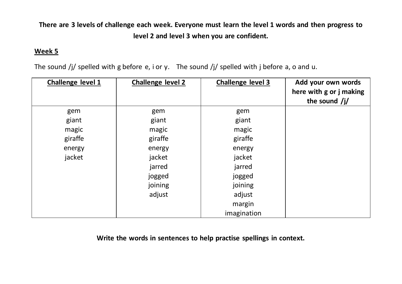## **Week 5**

The sound /j/ spelled with g before e, i or y. The sound /j/ spelled with j before a, o and u.

| Challenge level 1 | <b>Challenge level 2</b> | <b>Challenge level 3</b> | Add your own words<br>here with g or j making<br>the sound $/j/$ |
|-------------------|--------------------------|--------------------------|------------------------------------------------------------------|
| gem               | gem                      | gem                      |                                                                  |
| giant             | giant                    | giant                    |                                                                  |
| magic             | magic                    | magic                    |                                                                  |
| giraffe           | giraffe                  | giraffe                  |                                                                  |
| energy            | energy                   | energy                   |                                                                  |
| jacket            | jacket                   | jacket                   |                                                                  |
|                   | jarred                   | jarred                   |                                                                  |
|                   | jogged                   | jogged                   |                                                                  |
|                   | joining                  | joining                  |                                                                  |
|                   | adjust                   | adjust                   |                                                                  |
|                   |                          | margin                   |                                                                  |
|                   |                          | imagination              |                                                                  |